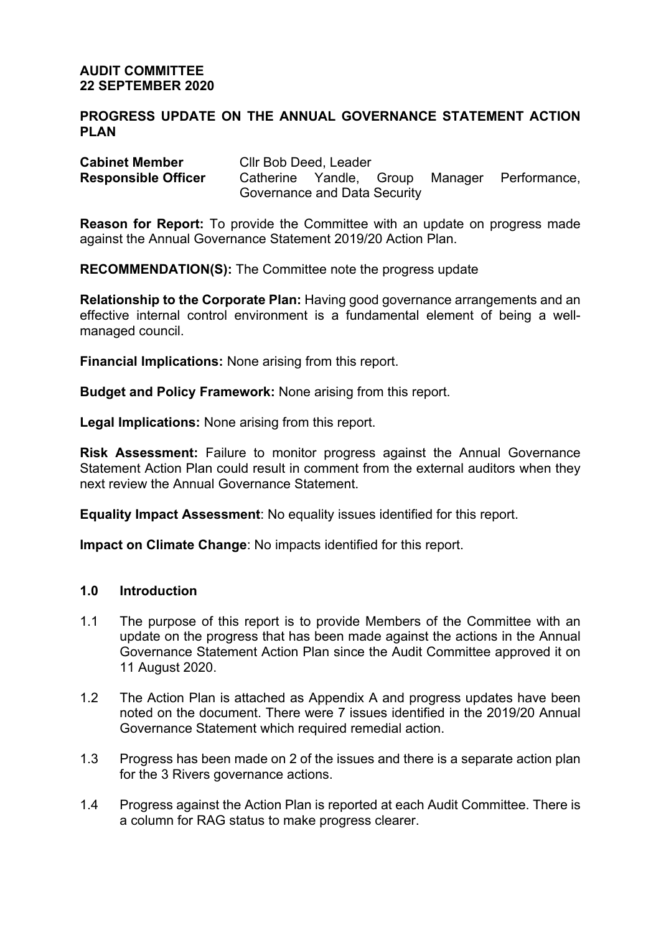## **AUDIT COMMITTEE 22 SEPTEMBER 2020**

## **PROGRESS UPDATE ON THE ANNUAL GOVERNANCE STATEMENT ACTION PLAN**

| <b>Cabinet Member</b>      | Cllr Bob Deed, Leader        |  |  |  |                                              |
|----------------------------|------------------------------|--|--|--|----------------------------------------------|
| <b>Responsible Officer</b> |                              |  |  |  | Catherine Yandle, Group Manager Performance, |
|                            | Governance and Data Security |  |  |  |                                              |

**Reason for Report:** To provide the Committee with an update on progress made against the Annual Governance Statement 2019/20 Action Plan.

**RECOMMENDATION(S):** The Committee note the progress update

**Relationship to the Corporate Plan:** Having good governance arrangements and an effective internal control environment is a fundamental element of being a wellmanaged council.

**Financial Implications:** None arising from this report.

**Budget and Policy Framework:** None arising from this report.

**Legal Implications:** None arising from this report.

**Risk Assessment:** Failure to monitor progress against the Annual Governance Statement Action Plan could result in comment from the external auditors when they next review the Annual Governance Statement.

**Equality Impact Assessment**: No equality issues identified for this report.

**Impact on Climate Change**: No impacts identified for this report.

## **1.0 Introduction**

- 1.1 The purpose of this report is to provide Members of the Committee with an update on the progress that has been made against the actions in the Annual Governance Statement Action Plan since the Audit Committee approved it on 11 August 2020.
- 1.2 The Action Plan is attached as Appendix A and progress updates have been noted on the document. There were 7 issues identified in the 2019/20 Annual Governance Statement which required remedial action.
- 1.3 Progress has been made on 2 of the issues and there is a separate action plan for the 3 Rivers governance actions.
- 1.4 Progress against the Action Plan is reported at each Audit Committee. There is a column for RAG status to make progress clearer.